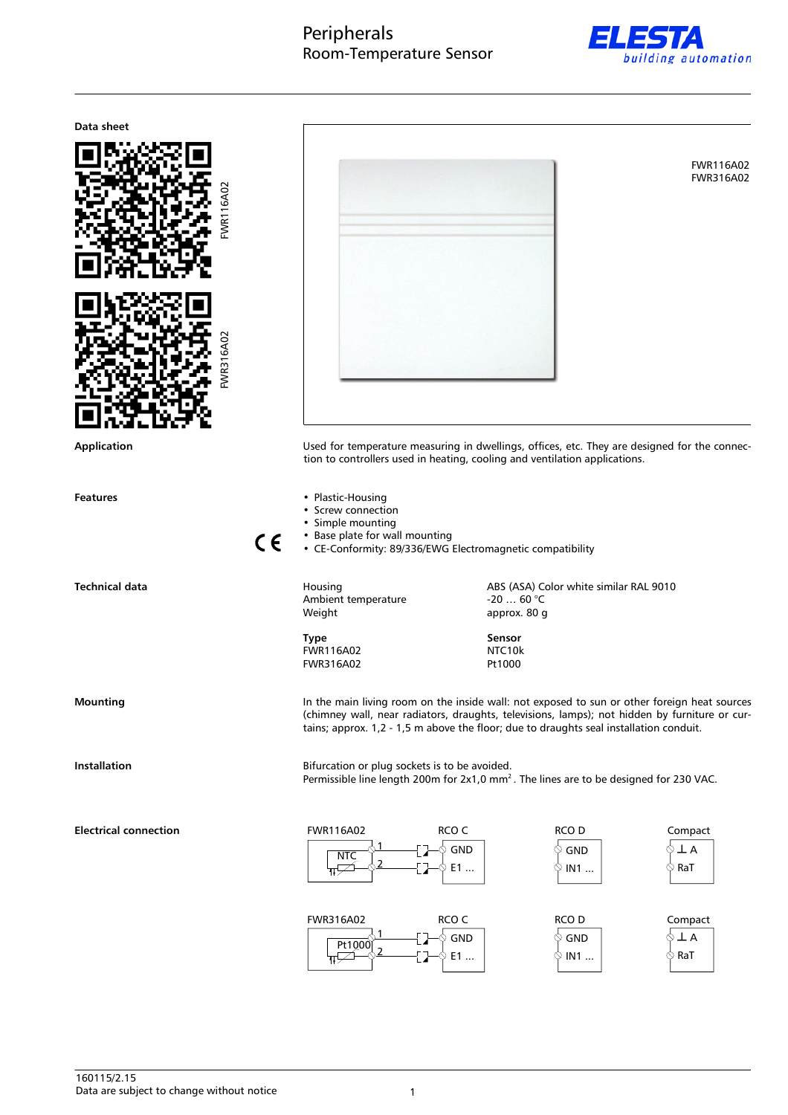# Peripherals Room-Temperature Sensor